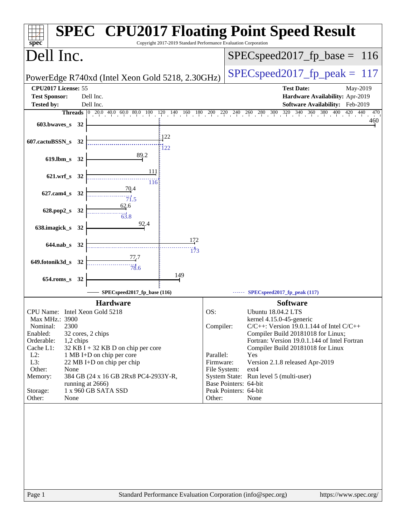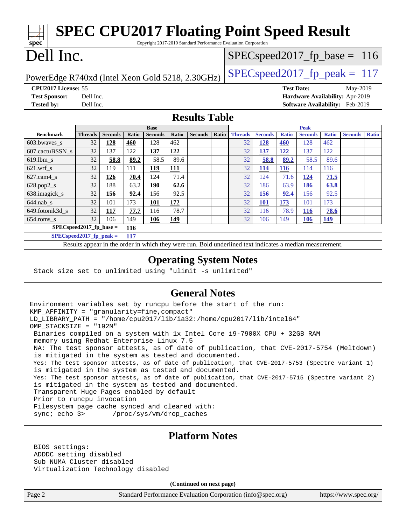| $Spec^*$             |                     | <b>SPEC CPU2017 Floating Point Speed Result</b><br>Copyright 2017-2019 Standard Performance Evaluation Corporation |                                        |          |
|----------------------|---------------------|--------------------------------------------------------------------------------------------------------------------|----------------------------------------|----------|
| Dell Inc.            |                     |                                                                                                                    | $SPEC speed2017_f p\_base = 116$       |          |
|                      |                     | PowerEdge R740xd (Intel Xeon Gold 5218, 2.30GHz)                                                                   | $SPEC speed2017fr peak = 117$          |          |
|                      | CPU2017 License: 55 |                                                                                                                    | <b>Test Date:</b>                      | May-2019 |
| <b>Test Sponsor:</b> |                     | Dell Inc.                                                                                                          | <b>Hardware Availability: Apr-2019</b> |          |
| <b>Tested by:</b>    |                     | Dell Inc.                                                                                                          | Software Availability: Feb-2019        |          |

### **[Results Table](http://www.spec.org/auto/cpu2017/Docs/result-fields.html#ResultsTable)**

|                            | <b>Base</b> |                |       |                | <b>Peak</b> |                |       |                |                |              |                |              |                |              |
|----------------------------|-------------|----------------|-------|----------------|-------------|----------------|-------|----------------|----------------|--------------|----------------|--------------|----------------|--------------|
| <b>Benchmark</b>           | Threads     | <b>Seconds</b> | Ratio | <b>Seconds</b> | Ratio       | <b>Seconds</b> | Ratio | <b>Threads</b> | <b>Seconds</b> | <b>Ratio</b> | <b>Seconds</b> | <b>Ratio</b> | <b>Seconds</b> | <b>Ratio</b> |
| $603.bwaves$ s             | 32          | 128            | 460   | 128            | 462         |                |       | 32             | <u>128</u>     | <b>460</b>   | 128            | 462          |                |              |
| 607.cactuBSSN s            | 32          | 137            | 122   | 137            | 122         |                |       | 32             | <u>137</u>     | <u> 122</u>  | 137            | 122          |                |              |
| $619.1$ bm s               | 32          | 58.8           | 89.2  | 58.5           | 89.6        |                |       | 32             | 58.8           | 89.2         | 58.5           | 89.6         |                |              |
| $621.wrf$ s                | 32          | 119            | 111   | 119            | <u>111</u>  |                |       | 32             | <u>114</u>     | <b>116</b>   | 114            | 116          |                |              |
| $627$ .cam4 s              | 32          | <u> 126</u>    | 70.4  | 124            | 71.4        |                |       | 32             | 124            | 71.6         | 124            | 71.5         |                |              |
| $628.pop2_s$               | 32          | 188            | 63.2  | 190            | 62.6        |                |       | 32             | 186            | 63.9         | 186            | 63.8         |                |              |
| 638.imagick_s              | 32          | 156            | 92.4  | 156            | 92.5        |                |       | 32             | <b>156</b>     | 92.4         | 156            | 92.5         |                |              |
| $644$ .nab s               | 32          | 101            | 173   | 101            | 172         |                |       | 32             | <b>101</b>     | 173          | 101            | 173          |                |              |
| 649.fotonik3d s            | 32          | 117            | 77.7  | 116            | 78.7        |                |       | 32             | 116            | 78.9         | <u>116</u>     | 78.6         |                |              |
| $654$ .roms s              | 32          | 106            | 149   | <b>106</b>     | 149         |                |       | 32             | 106            | 149          | <u>106</u>     | <u>149</u>   |                |              |
| $SPEC speed2017$ fp base = |             |                | 116   |                |             |                |       |                |                |              |                |              |                |              |
| $SPECspeed2017fp peak =$   |             |                | 117   |                |             |                |       |                |                |              |                |              |                |              |

Results appear in the [order in which they were run.](http://www.spec.org/auto/cpu2017/Docs/result-fields.html#RunOrder) Bold underlined text [indicates a median measurement.](http://www.spec.org/auto/cpu2017/Docs/result-fields.html#Median)

### **[Operating System Notes](http://www.spec.org/auto/cpu2017/Docs/result-fields.html#OperatingSystemNotes)**

Stack size set to unlimited using "ulimit -s unlimited"

### **[General Notes](http://www.spec.org/auto/cpu2017/Docs/result-fields.html#GeneralNotes)**

Environment variables set by runcpu before the start of the run: KMP\_AFFINITY = "granularity=fine,compact" LD\_LIBRARY\_PATH = "/home/cpu2017/lib/ia32:/home/cpu2017/lib/intel64" OMP\_STACKSIZE = "192M" Binaries compiled on a system with 1x Intel Core i9-7900X CPU + 32GB RAM memory using Redhat Enterprise Linux 7.5 NA: The test sponsor attests, as of date of publication, that CVE-2017-5754 (Meltdown) is mitigated in the system as tested and documented. Yes: The test sponsor attests, as of date of publication, that CVE-2017-5753 (Spectre variant 1) is mitigated in the system as tested and documented. Yes: The test sponsor attests, as of date of publication, that CVE-2017-5715 (Spectre variant 2) is mitigated in the system as tested and documented. Transparent Huge Pages enabled by default Prior to runcpu invocation Filesystem page cache synced and cleared with: sync; echo 3> /proc/sys/vm/drop\_caches

### **[Platform Notes](http://www.spec.org/auto/cpu2017/Docs/result-fields.html#PlatformNotes)**

 BIOS settings: ADDDC setting disabled Sub NUMA Cluster disabled Virtualization Technology disabled

**(Continued on next page)**

Page 2 Standard Performance Evaluation Corporation [\(info@spec.org\)](mailto:info@spec.org) <https://www.spec.org/>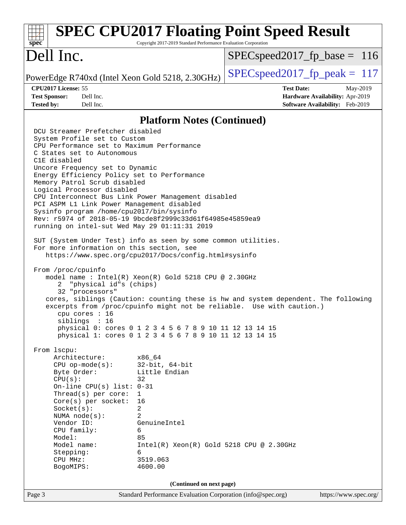#### Page 3 Standard Performance Evaluation Corporation [\(info@spec.org\)](mailto:info@spec.org) <https://www.spec.org/> **[spec](http://www.spec.org/) [SPEC CPU2017 Floating Point Speed Result](http://www.spec.org/auto/cpu2017/Docs/result-fields.html#SPECCPU2017FloatingPointSpeedResult)** Copyright 2017-2019 Standard Performance Evaluation Corporation Dell Inc. PowerEdge R740xd (Intel Xeon Gold 5218, 2.30GHz)  $\left|$  [SPECspeed2017\\_fp\\_peak =](http://www.spec.org/auto/cpu2017/Docs/result-fields.html#SPECspeed2017fppeak) 117 SPECspeed2017 fp base =  $116$ **[CPU2017 License:](http://www.spec.org/auto/cpu2017/Docs/result-fields.html#CPU2017License)** 55 **[Test Date:](http://www.spec.org/auto/cpu2017/Docs/result-fields.html#TestDate)** May-2019 **[Test Sponsor:](http://www.spec.org/auto/cpu2017/Docs/result-fields.html#TestSponsor)** Dell Inc. **[Hardware Availability:](http://www.spec.org/auto/cpu2017/Docs/result-fields.html#HardwareAvailability)** Apr-2019 **[Tested by:](http://www.spec.org/auto/cpu2017/Docs/result-fields.html#Testedby)** Dell Inc. **[Software Availability:](http://www.spec.org/auto/cpu2017/Docs/result-fields.html#SoftwareAvailability)** Feb-2019 **[Platform Notes \(Continued\)](http://www.spec.org/auto/cpu2017/Docs/result-fields.html#PlatformNotes)** DCU Streamer Prefetcher disabled System Profile set to Custom CPU Performance set to Maximum Performance C States set to Autonomous C1E disabled Uncore Frequency set to Dynamic Energy Efficiency Policy set to Performance Memory Patrol Scrub disabled Logical Processor disabled CPU Interconnect Bus Link Power Management disabled PCI ASPM L1 Link Power Management disabled Sysinfo program /home/cpu2017/bin/sysinfo Rev: r5974 of 2018-05-19 9bcde8f2999c33d61f64985e45859ea9 running on intel-sut Wed May 29 01:11:31 2019 SUT (System Under Test) info as seen by some common utilities. For more information on this section, see <https://www.spec.org/cpu2017/Docs/config.html#sysinfo> From /proc/cpuinfo model name : Intel(R) Xeon(R) Gold 5218 CPU @ 2.30GHz 2 "physical id"s (chips) 32 "processors" cores, siblings (Caution: counting these is hw and system dependent. The following excerpts from /proc/cpuinfo might not be reliable. Use with caution.) cpu cores : 16 siblings : 16 physical 0: cores 0 1 2 3 4 5 6 7 8 9 10 11 12 13 14 15 physical 1: cores 0 1 2 3 4 5 6 7 8 9 10 11 12 13 14 15 From lscpu: Architecture: x86\_64 CPU op-mode(s): 32-bit, 64-bit Byte Order: Little Endian  $CPU(s):$  32 On-line CPU(s) list: 0-31 Thread(s) per core: 1 Core(s) per socket: 16 Socket(s): 2 NUMA node(s): 2 Vendor ID: GenuineIntel CPU family: 6 Model: 85 Model name: Intel(R) Xeon(R) Gold 5218 CPU @ 2.30GHz Stepping: 6 CPU MHz: 3519.063 BogoMIPS: 4600.00 **(Continued on next page)**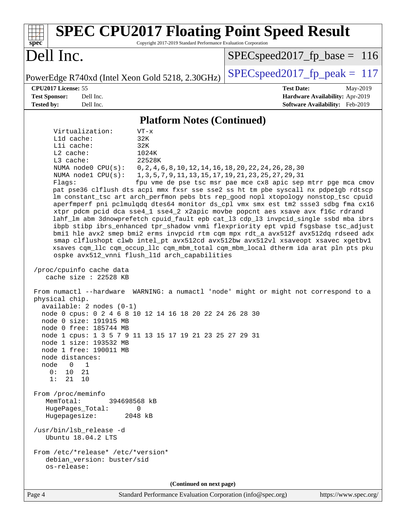| <b>SPEC CPU2017 Floating Point Speed Result</b><br>Copyright 2017-2019 Standard Performance Evaluation Corporation<br>$spec^*$                                                                                                                                                                                                                                                                                                                                                                                                                                                                                                                                                                                                                                                                                                                                                                                                                                                                                                                                                                                                                                                                                                                                                                                                                                                                                                                                                                                                                                                                                                                                                                                                                                                                                                                                                                                                                                                                                                                  |                                                                                                     |  |  |  |  |  |  |  |  |
|-------------------------------------------------------------------------------------------------------------------------------------------------------------------------------------------------------------------------------------------------------------------------------------------------------------------------------------------------------------------------------------------------------------------------------------------------------------------------------------------------------------------------------------------------------------------------------------------------------------------------------------------------------------------------------------------------------------------------------------------------------------------------------------------------------------------------------------------------------------------------------------------------------------------------------------------------------------------------------------------------------------------------------------------------------------------------------------------------------------------------------------------------------------------------------------------------------------------------------------------------------------------------------------------------------------------------------------------------------------------------------------------------------------------------------------------------------------------------------------------------------------------------------------------------------------------------------------------------------------------------------------------------------------------------------------------------------------------------------------------------------------------------------------------------------------------------------------------------------------------------------------------------------------------------------------------------------------------------------------------------------------------------------------------------|-----------------------------------------------------------------------------------------------------|--|--|--|--|--|--|--|--|
| Dell Inc.                                                                                                                                                                                                                                                                                                                                                                                                                                                                                                                                                                                                                                                                                                                                                                                                                                                                                                                                                                                                                                                                                                                                                                                                                                                                                                                                                                                                                                                                                                                                                                                                                                                                                                                                                                                                                                                                                                                                                                                                                                       | $SPEC speed2017_f p\_base = 116$                                                                    |  |  |  |  |  |  |  |  |
| PowerEdge R740xd (Intel Xeon Gold 5218, 2.30GHz)                                                                                                                                                                                                                                                                                                                                                                                                                                                                                                                                                                                                                                                                                                                                                                                                                                                                                                                                                                                                                                                                                                                                                                                                                                                                                                                                                                                                                                                                                                                                                                                                                                                                                                                                                                                                                                                                                                                                                                                                | $SPEC speed2017_fp\_peak = 117$                                                                     |  |  |  |  |  |  |  |  |
| CPU2017 License: 55<br><b>Test Sponsor:</b><br>Dell Inc.<br><b>Tested by:</b><br>Dell Inc.                                                                                                                                                                                                                                                                                                                                                                                                                                                                                                                                                                                                                                                                                                                                                                                                                                                                                                                                                                                                                                                                                                                                                                                                                                                                                                                                                                                                                                                                                                                                                                                                                                                                                                                                                                                                                                                                                                                                                      | <b>Test Date:</b><br>May-2019<br>Hardware Availability: Apr-2019<br>Software Availability: Feb-2019 |  |  |  |  |  |  |  |  |
|                                                                                                                                                                                                                                                                                                                                                                                                                                                                                                                                                                                                                                                                                                                                                                                                                                                                                                                                                                                                                                                                                                                                                                                                                                                                                                                                                                                                                                                                                                                                                                                                                                                                                                                                                                                                                                                                                                                                                                                                                                                 |                                                                                                     |  |  |  |  |  |  |  |  |
| <b>Platform Notes (Continued)</b><br>Virtualization:<br>$VT - x$<br>L1d cache:<br>32K<br>Lli cache:<br>32K<br>L2 cache:<br>1024K<br>22528K<br>L3 cache:<br>NUMA $node0$ $CPU(s):$<br>0, 2, 4, 6, 8, 10, 12, 14, 16, 18, 20, 22, 24, 26, 28, 30<br>NUMA nodel $CPU(s):$<br>1, 3, 5, 7, 9, 11, 13, 15, 17, 19, 21, 23, 25, 27, 29, 31<br>Flags:<br>fpu vme de pse tsc msr pae mce cx8 apic sep mtrr pge mca cmov<br>pat pse36 clflush dts acpi mmx fxsr sse sse2 ss ht tm pbe syscall nx pdpe1gb rdtscp<br>lm constant_tsc art arch_perfmon pebs bts rep_good nopl xtopology nonstop_tsc cpuid<br>aperfmperf pni pclmulqdq dtes64 monitor ds_cpl vmx smx est tm2 ssse3 sdbg fma cx16<br>xtpr pdcm pcid dca sse4_1 sse4_2 x2apic movbe popcnt aes xsave avx f16c rdrand<br>lahf_lm abm 3dnowprefetch cpuid_fault epb cat_13 cdp_13 invpcid_single ssbd mba ibrs<br>ibpb stibp ibrs_enhanced tpr_shadow vnmi flexpriority ept vpid fsgsbase tsc_adjust<br>bmil hle avx2 smep bmi2 erms invpcid rtm cqm mpx rdt_a avx512f avx512dq rdseed adx<br>smap clflushopt clwb intel_pt avx512cd avx512bw avx512vl xsaveopt xsavec xgetbvl<br>xsaves cqm_llc cqm_occup_llc cqm_mbm_total cqm_mbm_local dtherm ida arat pln pts pku<br>ospke avx512_vnni flush_l1d arch_capabilities<br>/proc/cpuinfo cache data<br>cache size : 22528 KB<br>From numactl --hardware WARNING: a numactl 'node' might or might not correspond to a<br>physical chip.<br>$available: 2 nodes (0-1)$<br>node 0 cpus: 0 2 4 6 8 10 12 14 16 18 20 22 24 26 28 30<br>node 0 size: 191915 MB<br>node 0 free: 185744 MB<br>node 1 cpus: 1 3 5 7 9 11 13 15 17 19 21 23 25 27 29 31<br>node 1 size: 193532 MB<br>node 1 free: 190011 MB<br>node distances:<br>node<br>$\overline{0}$<br>$\overline{1}$<br>0:<br>10<br>21<br>1:<br>21<br>10<br>From /proc/meminfo<br>MemTotal:<br>394698568 kB<br>HugePages_Total:<br>0<br>Hugepagesize:<br>2048 kB<br>/usr/bin/lsb_release -d<br>Ubuntu 18.04.2 LTS<br>From /etc/*release* /etc/*version*<br>debian_version: buster/sid<br>os-release: |                                                                                                     |  |  |  |  |  |  |  |  |
| (Continued on next page)<br>Standard Performance Evaluation Corporation (info@spec.org)<br>$Pa$ ge $\Delta$                                                                                                                                                                                                                                                                                                                                                                                                                                                                                                                                                                                                                                                                                                                                                                                                                                                                                                                                                                                                                                                                                                                                                                                                                                                                                                                                                                                                                                                                                                                                                                                                                                                                                                                                                                                                                                                                                                                                     | https://www.spec.org/                                                                               |  |  |  |  |  |  |  |  |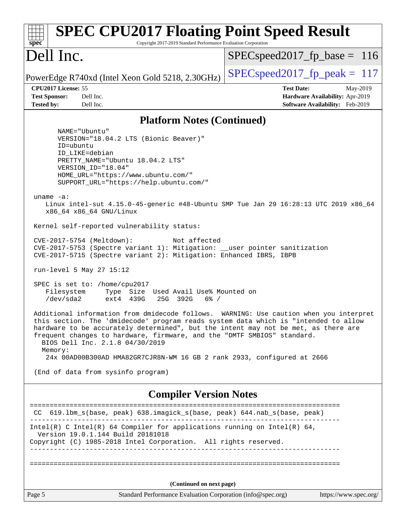| <b>SPEC CPU2017 Floating Point Speed Result</b><br>Copyright 2017-2019 Standard Performance Evaluation Corporation<br>$sp\overline{ec}$                                                                                                                                                                                                                                                                                                                                                                                                                                                                                                                                                                                                                                                                                                                                                                                                                                                                                                                                                                                                                                                                                                                                                                |                                                                                                     |
|--------------------------------------------------------------------------------------------------------------------------------------------------------------------------------------------------------------------------------------------------------------------------------------------------------------------------------------------------------------------------------------------------------------------------------------------------------------------------------------------------------------------------------------------------------------------------------------------------------------------------------------------------------------------------------------------------------------------------------------------------------------------------------------------------------------------------------------------------------------------------------------------------------------------------------------------------------------------------------------------------------------------------------------------------------------------------------------------------------------------------------------------------------------------------------------------------------------------------------------------------------------------------------------------------------|-----------------------------------------------------------------------------------------------------|
| Dell Inc.                                                                                                                                                                                                                                                                                                                                                                                                                                                                                                                                                                                                                                                                                                                                                                                                                                                                                                                                                                                                                                                                                                                                                                                                                                                                                              | $SPEC speed2017_fp\_base = 116$                                                                     |
| PowerEdge R740xd (Intel Xeon Gold 5218, 2.30GHz)                                                                                                                                                                                                                                                                                                                                                                                                                                                                                                                                                                                                                                                                                                                                                                                                                                                                                                                                                                                                                                                                                                                                                                                                                                                       | $SPEC speed2017_fp\_peak = 117$                                                                     |
| CPU2017 License: 55<br>Dell Inc.<br><b>Test Sponsor:</b><br>Dell Inc.<br><b>Tested by:</b>                                                                                                                                                                                                                                                                                                                                                                                                                                                                                                                                                                                                                                                                                                                                                                                                                                                                                                                                                                                                                                                                                                                                                                                                             | <b>Test Date:</b><br>May-2019<br>Hardware Availability: Apr-2019<br>Software Availability: Feb-2019 |
| <b>Platform Notes (Continued)</b>                                                                                                                                                                                                                                                                                                                                                                                                                                                                                                                                                                                                                                                                                                                                                                                                                                                                                                                                                                                                                                                                                                                                                                                                                                                                      |                                                                                                     |
| NAME="Ubuntu"<br>VERSION="18.04.2 LTS (Bionic Beaver)"<br>ID=ubuntu<br>ID LIKE=debian<br>PRETTY_NAME="Ubuntu 18.04.2 LTS"<br>VERSION ID="18.04"<br>HOME_URL="https://www.ubuntu.com/"<br>SUPPORT_URL="https://help.ubuntu.com/"<br>uname $-a$ :<br>Linux intel-sut 4.15.0-45-generic #48-Ubuntu SMP Tue Jan 29 16:28:13 UTC 2019 x86_64<br>x86_64 x86_64 GNU/Linux<br>Kernel self-reported vulnerability status:<br>CVE-2017-5754 (Meltdown):<br>Not affected<br>CVE-2017-5753 (Spectre variant 1): Mitigation: __user pointer sanitization<br>CVE-2017-5715 (Spectre variant 2): Mitigation: Enhanced IBRS, IBPB<br>run-level 5 May 27 15:12<br>SPEC is set to: /home/cpu2017<br>Filesystem<br>Type Size Used Avail Use% Mounted on<br>/dev/sda2<br>ext4 439G<br>25G 392G<br>$6\%$ /<br>Additional information from dmidecode follows. WARNING: Use caution when you interpret<br>this section. The 'dmidecode' program reads system data which is "intended to allow<br>hardware to be accurately determined", but the intent may not be met, as there are<br>frequent changes to hardware, firmware, and the "DMTF SMBIOS" standard.<br>BIOS Dell Inc. 2.1.8 04/30/2019<br>Memory:<br>24x 00AD00B300AD HMA82GR7CJR8N-WM 16 GB 2 rank 2933, configured at 2666<br>(End of data from sysinfo program) |                                                                                                     |
| <b>Compiler Version Notes</b>                                                                                                                                                                                                                                                                                                                                                                                                                                                                                                                                                                                                                                                                                                                                                                                                                                                                                                                                                                                                                                                                                                                                                                                                                                                                          |                                                                                                     |
| 619.1bm_s(base, peak) 638.imagick_s(base, peak) 644.nab_s(base, peak)<br>CC.<br>Intel(R) C Intel(R) 64 Compiler for applications running on Intel(R) 64,<br>Version 19.0.1.144 Build 20181018                                                                                                                                                                                                                                                                                                                                                                                                                                                                                                                                                                                                                                                                                                                                                                                                                                                                                                                                                                                                                                                                                                          |                                                                                                     |
| Copyright (C) 1985-2018 Intel Corporation. All rights reserved.                                                                                                                                                                                                                                                                                                                                                                                                                                                                                                                                                                                                                                                                                                                                                                                                                                                                                                                                                                                                                                                                                                                                                                                                                                        |                                                                                                     |
| (Continued on next page)                                                                                                                                                                                                                                                                                                                                                                                                                                                                                                                                                                                                                                                                                                                                                                                                                                                                                                                                                                                                                                                                                                                                                                                                                                                                               |                                                                                                     |
| Page 5<br>Standard Performance Evaluation Corporation (info@spec.org)                                                                                                                                                                                                                                                                                                                                                                                                                                                                                                                                                                                                                                                                                                                                                                                                                                                                                                                                                                                                                                                                                                                                                                                                                                  | https://www.spec.org/                                                                               |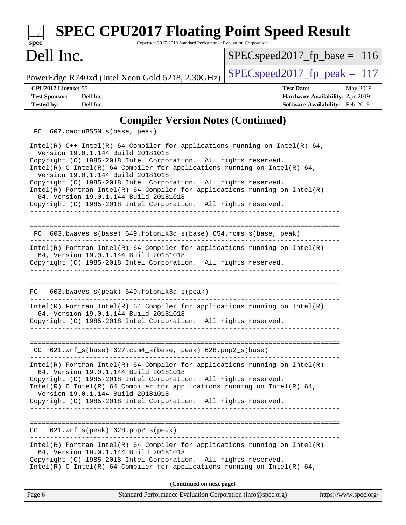| $\mathbf{Spec}^*$                                                | <b>SPEC CPU2017 Floating Point Speed Result</b><br>Copyright 2017-2019 Standard Performance Evaluation Corporation                                                                                                                                                                                                                                                                                                                                                                                                                                                     |                                                                                                     |
|------------------------------------------------------------------|------------------------------------------------------------------------------------------------------------------------------------------------------------------------------------------------------------------------------------------------------------------------------------------------------------------------------------------------------------------------------------------------------------------------------------------------------------------------------------------------------------------------------------------------------------------------|-----------------------------------------------------------------------------------------------------|
| Dell Inc.                                                        |                                                                                                                                                                                                                                                                                                                                                                                                                                                                                                                                                                        | $SPEC speed2017_fp\_base = 116$                                                                     |
|                                                                  | PowerEdge R740xd (Intel Xeon Gold 5218, 2.30GHz)                                                                                                                                                                                                                                                                                                                                                                                                                                                                                                                       | $SPEC speed2017_fp\_peak = 117$                                                                     |
| CPU2017 License: 55<br><b>Test Sponsor:</b><br><b>Tested by:</b> | Dell Inc.<br>Dell Inc.                                                                                                                                                                                                                                                                                                                                                                                                                                                                                                                                                 | <b>Test Date:</b><br>May-2019<br>Hardware Availability: Apr-2019<br>Software Availability: Feb-2019 |
|                                                                  | <b>Compiler Version Notes (Continued)</b>                                                                                                                                                                                                                                                                                                                                                                                                                                                                                                                              |                                                                                                     |
|                                                                  | FC 607.cactuBSSN_s(base, peak)                                                                                                                                                                                                                                                                                                                                                                                                                                                                                                                                         |                                                                                                     |
|                                                                  | Intel(R) $C++$ Intel(R) 64 Compiler for applications running on Intel(R) 64,<br>Version 19.0.1.144 Build 20181018<br>Copyright (C) 1985-2018 Intel Corporation. All rights reserved.<br>$Intel(R)$ C Intel(R) 64 Compiler for applications running on Intel(R) 64,<br>Version 19.0.1.144 Build 20181018<br>Copyright (C) 1985-2018 Intel Corporation. All rights reserved.<br>$Intel(R)$ Fortran Intel(R) 64 Compiler for applications running on Intel(R)<br>64, Version 19.0.1.144 Build 20181018<br>Copyright (C) 1985-2018 Intel Corporation. All rights reserved. |                                                                                                     |
|                                                                  | FC 603.bwaves_s(base) 649.fotonik3d_s(base) 654.roms_s(base, peak)                                                                                                                                                                                                                                                                                                                                                                                                                                                                                                     |                                                                                                     |
|                                                                  | Intel(R) Fortran Intel(R) 64 Compiler for applications running on Intel(R)<br>64, Version 19.0.1.144 Build 20181018<br>Copyright (C) 1985-2018 Intel Corporation. All rights reserved.<br>_______________________________                                                                                                                                                                                                                                                                                                                                              |                                                                                                     |
| FC.                                                              | 603.bwaves_s(peak) 649.fotonik3d_s(peak)                                                                                                                                                                                                                                                                                                                                                                                                                                                                                                                               |                                                                                                     |
|                                                                  | $Intel(R)$ Fortran Intel(R) 64 Compiler for applications running on Intel(R)<br>64, Version 19.0.1.144 Build 20181018<br>Copyright (C) 1985-2018 Intel Corporation. All rights reserved.                                                                                                                                                                                                                                                                                                                                                                               |                                                                                                     |
|                                                                  | $CC$ 621.wrf_s(base) 627.cam4_s(base, peak) 628.pop2_s(base)                                                                                                                                                                                                                                                                                                                                                                                                                                                                                                           |                                                                                                     |
|                                                                  | $Intel(R)$ Fortran Intel(R) 64 Compiler for applications running on Intel(R)<br>64, Version 19.0.1.144 Build 20181018<br>Copyright (C) 1985-2018 Intel Corporation. All rights reserved.<br>Intel(R) C Intel(R) 64 Compiler for applications running on Intel(R) 64,<br>Version 19.0.1.144 Build 20181018<br>Copyright (C) 1985-2018 Intel Corporation. All rights reserved.                                                                                                                                                                                           |                                                                                                     |
|                                                                  | $CC$ $621.wrf_s(peak)$ $628.pop2_s(peak)$                                                                                                                                                                                                                                                                                                                                                                                                                                                                                                                              |                                                                                                     |
|                                                                  | $Intel(R)$ Fortran Intel(R) 64 Compiler for applications running on Intel(R)<br>64, Version 19.0.1.144 Build 20181018<br>Copyright (C) 1985-2018 Intel Corporation. All rights reserved.<br>$Intel(R)$ C Intel(R) 64 Compiler for applications running on Intel(R) 64,                                                                                                                                                                                                                                                                                                 |                                                                                                     |
|                                                                  | (Continued on next page)                                                                                                                                                                                                                                                                                                                                                                                                                                                                                                                                               |                                                                                                     |
| Page 6                                                           | Standard Performance Evaluation Corporation (info@spec.org)                                                                                                                                                                                                                                                                                                                                                                                                                                                                                                            | https://www.spec.org/                                                                               |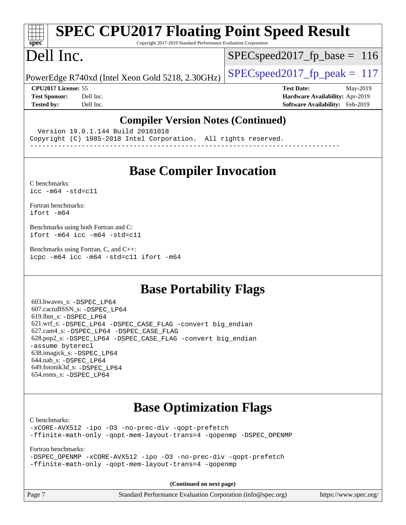# **[SPEC CPU2017 Floating Point Speed Result](http://www.spec.org/auto/cpu2017/Docs/result-fields.html#SPECCPU2017FloatingPointSpeedResult)**

Copyright 2017-2019 Standard Performance Evaluation Corporation

## Dell Inc.

**[spec](http://www.spec.org/)**

 $SPEC speed2017_fp\_base = 116$ 

PowerEdge R740xd (Intel Xeon Gold 5218, 2.30GHz)  $\left|$  [SPECspeed2017\\_fp\\_peak =](http://www.spec.org/auto/cpu2017/Docs/result-fields.html#SPECspeed2017fppeak) 117

**[CPU2017 License:](http://www.spec.org/auto/cpu2017/Docs/result-fields.html#CPU2017License)** 55 **[Test Date:](http://www.spec.org/auto/cpu2017/Docs/result-fields.html#TestDate)** May-2019

**[Test Sponsor:](http://www.spec.org/auto/cpu2017/Docs/result-fields.html#TestSponsor)** Dell Inc. **[Hardware Availability:](http://www.spec.org/auto/cpu2017/Docs/result-fields.html#HardwareAvailability)** Apr-2019 **[Tested by:](http://www.spec.org/auto/cpu2017/Docs/result-fields.html#Testedby)** Dell Inc. **[Software Availability:](http://www.spec.org/auto/cpu2017/Docs/result-fields.html#SoftwareAvailability)** Feb-2019

### **[Compiler Version Notes \(Continued\)](http://www.spec.org/auto/cpu2017/Docs/result-fields.html#CompilerVersionNotes)**

Version 19.0.1.144 Build 20181018

Copyright (C) 1985-2018 Intel Corporation. All rights reserved.

------------------------------------------------------------------------------

## **[Base Compiler Invocation](http://www.spec.org/auto/cpu2017/Docs/result-fields.html#BaseCompilerInvocation)**

[C benchmarks](http://www.spec.org/auto/cpu2017/Docs/result-fields.html#Cbenchmarks):  $icc - m64 - std = c11$ 

[Fortran benchmarks](http://www.spec.org/auto/cpu2017/Docs/result-fields.html#Fortranbenchmarks): [ifort -m64](http://www.spec.org/cpu2017/results/res2019q3/cpu2017-20190624-15449.flags.html#user_FCbase_intel_ifort_64bit_24f2bb282fbaeffd6157abe4f878425411749daecae9a33200eee2bee2fe76f3b89351d69a8130dd5949958ce389cf37ff59a95e7a40d588e8d3a57e0c3fd751)

[Benchmarks using both Fortran and C](http://www.spec.org/auto/cpu2017/Docs/result-fields.html#BenchmarksusingbothFortranandC): [ifort -m64](http://www.spec.org/cpu2017/results/res2019q3/cpu2017-20190624-15449.flags.html#user_CC_FCbase_intel_ifort_64bit_24f2bb282fbaeffd6157abe4f878425411749daecae9a33200eee2bee2fe76f3b89351d69a8130dd5949958ce389cf37ff59a95e7a40d588e8d3a57e0c3fd751) [icc -m64 -std=c11](http://www.spec.org/cpu2017/results/res2019q3/cpu2017-20190624-15449.flags.html#user_CC_FCbase_intel_icc_64bit_c11_33ee0cdaae7deeeab2a9725423ba97205ce30f63b9926c2519791662299b76a0318f32ddfffdc46587804de3178b4f9328c46fa7c2b0cd779d7a61945c91cd35)

[Benchmarks using Fortran, C, and C++:](http://www.spec.org/auto/cpu2017/Docs/result-fields.html#BenchmarksusingFortranCandCXX) [icpc -m64](http://www.spec.org/cpu2017/results/res2019q3/cpu2017-20190624-15449.flags.html#user_CC_CXX_FCbase_intel_icpc_64bit_4ecb2543ae3f1412ef961e0650ca070fec7b7afdcd6ed48761b84423119d1bf6bdf5cad15b44d48e7256388bc77273b966e5eb805aefd121eb22e9299b2ec9d9) [icc -m64 -std=c11](http://www.spec.org/cpu2017/results/res2019q3/cpu2017-20190624-15449.flags.html#user_CC_CXX_FCbase_intel_icc_64bit_c11_33ee0cdaae7deeeab2a9725423ba97205ce30f63b9926c2519791662299b76a0318f32ddfffdc46587804de3178b4f9328c46fa7c2b0cd779d7a61945c91cd35) [ifort -m64](http://www.spec.org/cpu2017/results/res2019q3/cpu2017-20190624-15449.flags.html#user_CC_CXX_FCbase_intel_ifort_64bit_24f2bb282fbaeffd6157abe4f878425411749daecae9a33200eee2bee2fe76f3b89351d69a8130dd5949958ce389cf37ff59a95e7a40d588e8d3a57e0c3fd751)

### **[Base Portability Flags](http://www.spec.org/auto/cpu2017/Docs/result-fields.html#BasePortabilityFlags)**

 603.bwaves\_s: [-DSPEC\\_LP64](http://www.spec.org/cpu2017/results/res2019q3/cpu2017-20190624-15449.flags.html#suite_basePORTABILITY603_bwaves_s_DSPEC_LP64) 607.cactuBSSN\_s: [-DSPEC\\_LP64](http://www.spec.org/cpu2017/results/res2019q3/cpu2017-20190624-15449.flags.html#suite_basePORTABILITY607_cactuBSSN_s_DSPEC_LP64) 619.lbm\_s: [-DSPEC\\_LP64](http://www.spec.org/cpu2017/results/res2019q3/cpu2017-20190624-15449.flags.html#suite_basePORTABILITY619_lbm_s_DSPEC_LP64) 621.wrf\_s: [-DSPEC\\_LP64](http://www.spec.org/cpu2017/results/res2019q3/cpu2017-20190624-15449.flags.html#suite_basePORTABILITY621_wrf_s_DSPEC_LP64) [-DSPEC\\_CASE\\_FLAG](http://www.spec.org/cpu2017/results/res2019q3/cpu2017-20190624-15449.flags.html#b621.wrf_s_baseCPORTABILITY_DSPEC_CASE_FLAG) [-convert big\\_endian](http://www.spec.org/cpu2017/results/res2019q3/cpu2017-20190624-15449.flags.html#user_baseFPORTABILITY621_wrf_s_convert_big_endian_c3194028bc08c63ac5d04de18c48ce6d347e4e562e8892b8bdbdc0214820426deb8554edfa529a3fb25a586e65a3d812c835984020483e7e73212c4d31a38223) 627.cam4\_s: [-DSPEC\\_LP64](http://www.spec.org/cpu2017/results/res2019q3/cpu2017-20190624-15449.flags.html#suite_basePORTABILITY627_cam4_s_DSPEC_LP64) [-DSPEC\\_CASE\\_FLAG](http://www.spec.org/cpu2017/results/res2019q3/cpu2017-20190624-15449.flags.html#b627.cam4_s_baseCPORTABILITY_DSPEC_CASE_FLAG) 628.pop2\_s: [-DSPEC\\_LP64](http://www.spec.org/cpu2017/results/res2019q3/cpu2017-20190624-15449.flags.html#suite_basePORTABILITY628_pop2_s_DSPEC_LP64) [-DSPEC\\_CASE\\_FLAG](http://www.spec.org/cpu2017/results/res2019q3/cpu2017-20190624-15449.flags.html#b628.pop2_s_baseCPORTABILITY_DSPEC_CASE_FLAG) [-convert big\\_endian](http://www.spec.org/cpu2017/results/res2019q3/cpu2017-20190624-15449.flags.html#user_baseFPORTABILITY628_pop2_s_convert_big_endian_c3194028bc08c63ac5d04de18c48ce6d347e4e562e8892b8bdbdc0214820426deb8554edfa529a3fb25a586e65a3d812c835984020483e7e73212c4d31a38223) [-assume byterecl](http://www.spec.org/cpu2017/results/res2019q3/cpu2017-20190624-15449.flags.html#user_baseFPORTABILITY628_pop2_s_assume_byterecl_7e47d18b9513cf18525430bbf0f2177aa9bf368bc7a059c09b2c06a34b53bd3447c950d3f8d6c70e3faf3a05c8557d66a5798b567902e8849adc142926523472) 638.imagick\_s: [-DSPEC\\_LP64](http://www.spec.org/cpu2017/results/res2019q3/cpu2017-20190624-15449.flags.html#suite_basePORTABILITY638_imagick_s_DSPEC_LP64) 644.nab\_s: [-DSPEC\\_LP64](http://www.spec.org/cpu2017/results/res2019q3/cpu2017-20190624-15449.flags.html#suite_basePORTABILITY644_nab_s_DSPEC_LP64) 649.fotonik3d\_s: [-DSPEC\\_LP64](http://www.spec.org/cpu2017/results/res2019q3/cpu2017-20190624-15449.flags.html#suite_basePORTABILITY649_fotonik3d_s_DSPEC_LP64) 654.roms\_s: [-DSPEC\\_LP64](http://www.spec.org/cpu2017/results/res2019q3/cpu2017-20190624-15449.flags.html#suite_basePORTABILITY654_roms_s_DSPEC_LP64)

## **[Base Optimization Flags](http://www.spec.org/auto/cpu2017/Docs/result-fields.html#BaseOptimizationFlags)**

[C benchmarks](http://www.spec.org/auto/cpu2017/Docs/result-fields.html#Cbenchmarks):

[-xCORE-AVX512](http://www.spec.org/cpu2017/results/res2019q3/cpu2017-20190624-15449.flags.html#user_CCbase_f-xCORE-AVX512) [-ipo](http://www.spec.org/cpu2017/results/res2019q3/cpu2017-20190624-15449.flags.html#user_CCbase_f-ipo) [-O3](http://www.spec.org/cpu2017/results/res2019q3/cpu2017-20190624-15449.flags.html#user_CCbase_f-O3) [-no-prec-div](http://www.spec.org/cpu2017/results/res2019q3/cpu2017-20190624-15449.flags.html#user_CCbase_f-no-prec-div) [-qopt-prefetch](http://www.spec.org/cpu2017/results/res2019q3/cpu2017-20190624-15449.flags.html#user_CCbase_f-qopt-prefetch) [-ffinite-math-only](http://www.spec.org/cpu2017/results/res2019q3/cpu2017-20190624-15449.flags.html#user_CCbase_f_finite_math_only_cb91587bd2077682c4b38af759c288ed7c732db004271a9512da14a4f8007909a5f1427ecbf1a0fb78ff2a814402c6114ac565ca162485bbcae155b5e4258871) [-qopt-mem-layout-trans=4](http://www.spec.org/cpu2017/results/res2019q3/cpu2017-20190624-15449.flags.html#user_CCbase_f-qopt-mem-layout-trans_fa39e755916c150a61361b7846f310bcdf6f04e385ef281cadf3647acec3f0ae266d1a1d22d972a7087a248fd4e6ca390a3634700869573d231a252c784941a8) [-qopenmp](http://www.spec.org/cpu2017/results/res2019q3/cpu2017-20190624-15449.flags.html#user_CCbase_qopenmp_16be0c44f24f464004c6784a7acb94aca937f053568ce72f94b139a11c7c168634a55f6653758ddd83bcf7b8463e8028bb0b48b77bcddc6b78d5d95bb1df2967) [-DSPEC\\_OPENMP](http://www.spec.org/cpu2017/results/res2019q3/cpu2017-20190624-15449.flags.html#suite_CCbase_DSPEC_OPENMP)

[Fortran benchmarks](http://www.spec.org/auto/cpu2017/Docs/result-fields.html#Fortranbenchmarks):

[-DSPEC\\_OPENMP](http://www.spec.org/cpu2017/results/res2019q3/cpu2017-20190624-15449.flags.html#suite_FCbase_DSPEC_OPENMP) [-xCORE-AVX512](http://www.spec.org/cpu2017/results/res2019q3/cpu2017-20190624-15449.flags.html#user_FCbase_f-xCORE-AVX512) [-ipo](http://www.spec.org/cpu2017/results/res2019q3/cpu2017-20190624-15449.flags.html#user_FCbase_f-ipo) [-O3](http://www.spec.org/cpu2017/results/res2019q3/cpu2017-20190624-15449.flags.html#user_FCbase_f-O3) [-no-prec-div](http://www.spec.org/cpu2017/results/res2019q3/cpu2017-20190624-15449.flags.html#user_FCbase_f-no-prec-div) [-qopt-prefetch](http://www.spec.org/cpu2017/results/res2019q3/cpu2017-20190624-15449.flags.html#user_FCbase_f-qopt-prefetch) [-ffinite-math-only](http://www.spec.org/cpu2017/results/res2019q3/cpu2017-20190624-15449.flags.html#user_FCbase_f_finite_math_only_cb91587bd2077682c4b38af759c288ed7c732db004271a9512da14a4f8007909a5f1427ecbf1a0fb78ff2a814402c6114ac565ca162485bbcae155b5e4258871) [-qopt-mem-layout-trans=4](http://www.spec.org/cpu2017/results/res2019q3/cpu2017-20190624-15449.flags.html#user_FCbase_f-qopt-mem-layout-trans_fa39e755916c150a61361b7846f310bcdf6f04e385ef281cadf3647acec3f0ae266d1a1d22d972a7087a248fd4e6ca390a3634700869573d231a252c784941a8) [-qopenmp](http://www.spec.org/cpu2017/results/res2019q3/cpu2017-20190624-15449.flags.html#user_FCbase_qopenmp_16be0c44f24f464004c6784a7acb94aca937f053568ce72f94b139a11c7c168634a55f6653758ddd83bcf7b8463e8028bb0b48b77bcddc6b78d5d95bb1df2967)

**(Continued on next page)**

| Page 7 | Standard Performance Evaluation Corporation (info@spec.org) | https://www.spec.org/ |
|--------|-------------------------------------------------------------|-----------------------|
|--------|-------------------------------------------------------------|-----------------------|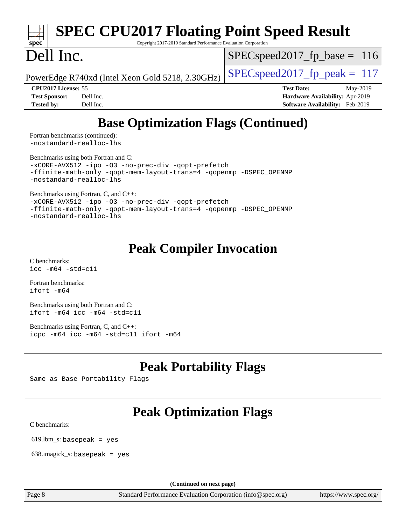### **[spec](http://www.spec.org/) [SPEC CPU2017 Floating Point Speed Result](http://www.spec.org/auto/cpu2017/Docs/result-fields.html#SPECCPU2017FloatingPointSpeedResult)** Copyright 2017-2019 Standard Performance Evaluation Corporation Dell Inc. PowerEdge R740xd (Intel Xeon Gold 5218, 2.30GHz)  $\left|$  [SPECspeed2017\\_fp\\_peak =](http://www.spec.org/auto/cpu2017/Docs/result-fields.html#SPECspeed2017fppeak) 117 SPECspeed2017 fp base =  $116$ **[CPU2017 License:](http://www.spec.org/auto/cpu2017/Docs/result-fields.html#CPU2017License)** 55 **[Test Date:](http://www.spec.org/auto/cpu2017/Docs/result-fields.html#TestDate)** May-2019

**[Tested by:](http://www.spec.org/auto/cpu2017/Docs/result-fields.html#Testedby)** Dell Inc. **[Software Availability:](http://www.spec.org/auto/cpu2017/Docs/result-fields.html#SoftwareAvailability)** Feb-2019

**[Test Sponsor:](http://www.spec.org/auto/cpu2017/Docs/result-fields.html#TestSponsor)** Dell Inc. **[Hardware Availability:](http://www.spec.org/auto/cpu2017/Docs/result-fields.html#HardwareAvailability)** Apr-2019

## **[Base Optimization Flags \(Continued\)](http://www.spec.org/auto/cpu2017/Docs/result-fields.html#BaseOptimizationFlags)**

[Fortran benchmarks](http://www.spec.org/auto/cpu2017/Docs/result-fields.html#Fortranbenchmarks) (continued): [-nostandard-realloc-lhs](http://www.spec.org/cpu2017/results/res2019q3/cpu2017-20190624-15449.flags.html#user_FCbase_f_2003_std_realloc_82b4557e90729c0f113870c07e44d33d6f5a304b4f63d4c15d2d0f1fab99f5daaed73bdb9275d9ae411527f28b936061aa8b9c8f2d63842963b95c9dd6426b8a)

[Benchmarks using both Fortran and C](http://www.spec.org/auto/cpu2017/Docs/result-fields.html#BenchmarksusingbothFortranandC):

[-xCORE-AVX512](http://www.spec.org/cpu2017/results/res2019q3/cpu2017-20190624-15449.flags.html#user_CC_FCbase_f-xCORE-AVX512) [-ipo](http://www.spec.org/cpu2017/results/res2019q3/cpu2017-20190624-15449.flags.html#user_CC_FCbase_f-ipo) [-O3](http://www.spec.org/cpu2017/results/res2019q3/cpu2017-20190624-15449.flags.html#user_CC_FCbase_f-O3) [-no-prec-div](http://www.spec.org/cpu2017/results/res2019q3/cpu2017-20190624-15449.flags.html#user_CC_FCbase_f-no-prec-div) [-qopt-prefetch](http://www.spec.org/cpu2017/results/res2019q3/cpu2017-20190624-15449.flags.html#user_CC_FCbase_f-qopt-prefetch) [-ffinite-math-only](http://www.spec.org/cpu2017/results/res2019q3/cpu2017-20190624-15449.flags.html#user_CC_FCbase_f_finite_math_only_cb91587bd2077682c4b38af759c288ed7c732db004271a9512da14a4f8007909a5f1427ecbf1a0fb78ff2a814402c6114ac565ca162485bbcae155b5e4258871) [-qopt-mem-layout-trans=4](http://www.spec.org/cpu2017/results/res2019q3/cpu2017-20190624-15449.flags.html#user_CC_FCbase_f-qopt-mem-layout-trans_fa39e755916c150a61361b7846f310bcdf6f04e385ef281cadf3647acec3f0ae266d1a1d22d972a7087a248fd4e6ca390a3634700869573d231a252c784941a8) [-qopenmp](http://www.spec.org/cpu2017/results/res2019q3/cpu2017-20190624-15449.flags.html#user_CC_FCbase_qopenmp_16be0c44f24f464004c6784a7acb94aca937f053568ce72f94b139a11c7c168634a55f6653758ddd83bcf7b8463e8028bb0b48b77bcddc6b78d5d95bb1df2967) [-DSPEC\\_OPENMP](http://www.spec.org/cpu2017/results/res2019q3/cpu2017-20190624-15449.flags.html#suite_CC_FCbase_DSPEC_OPENMP) [-nostandard-realloc-lhs](http://www.spec.org/cpu2017/results/res2019q3/cpu2017-20190624-15449.flags.html#user_CC_FCbase_f_2003_std_realloc_82b4557e90729c0f113870c07e44d33d6f5a304b4f63d4c15d2d0f1fab99f5daaed73bdb9275d9ae411527f28b936061aa8b9c8f2d63842963b95c9dd6426b8a)

[Benchmarks using Fortran, C, and C++:](http://www.spec.org/auto/cpu2017/Docs/result-fields.html#BenchmarksusingFortranCandCXX)

[-xCORE-AVX512](http://www.spec.org/cpu2017/results/res2019q3/cpu2017-20190624-15449.flags.html#user_CC_CXX_FCbase_f-xCORE-AVX512) [-ipo](http://www.spec.org/cpu2017/results/res2019q3/cpu2017-20190624-15449.flags.html#user_CC_CXX_FCbase_f-ipo) [-O3](http://www.spec.org/cpu2017/results/res2019q3/cpu2017-20190624-15449.flags.html#user_CC_CXX_FCbase_f-O3) [-no-prec-div](http://www.spec.org/cpu2017/results/res2019q3/cpu2017-20190624-15449.flags.html#user_CC_CXX_FCbase_f-no-prec-div) [-qopt-prefetch](http://www.spec.org/cpu2017/results/res2019q3/cpu2017-20190624-15449.flags.html#user_CC_CXX_FCbase_f-qopt-prefetch) [-ffinite-math-only](http://www.spec.org/cpu2017/results/res2019q3/cpu2017-20190624-15449.flags.html#user_CC_CXX_FCbase_f_finite_math_only_cb91587bd2077682c4b38af759c288ed7c732db004271a9512da14a4f8007909a5f1427ecbf1a0fb78ff2a814402c6114ac565ca162485bbcae155b5e4258871) [-qopt-mem-layout-trans=4](http://www.spec.org/cpu2017/results/res2019q3/cpu2017-20190624-15449.flags.html#user_CC_CXX_FCbase_f-qopt-mem-layout-trans_fa39e755916c150a61361b7846f310bcdf6f04e385ef281cadf3647acec3f0ae266d1a1d22d972a7087a248fd4e6ca390a3634700869573d231a252c784941a8) [-qopenmp](http://www.spec.org/cpu2017/results/res2019q3/cpu2017-20190624-15449.flags.html#user_CC_CXX_FCbase_qopenmp_16be0c44f24f464004c6784a7acb94aca937f053568ce72f94b139a11c7c168634a55f6653758ddd83bcf7b8463e8028bb0b48b77bcddc6b78d5d95bb1df2967) [-DSPEC\\_OPENMP](http://www.spec.org/cpu2017/results/res2019q3/cpu2017-20190624-15449.flags.html#suite_CC_CXX_FCbase_DSPEC_OPENMP)

[-nostandard-realloc-lhs](http://www.spec.org/cpu2017/results/res2019q3/cpu2017-20190624-15449.flags.html#user_CC_CXX_FCbase_f_2003_std_realloc_82b4557e90729c0f113870c07e44d33d6f5a304b4f63d4c15d2d0f1fab99f5daaed73bdb9275d9ae411527f28b936061aa8b9c8f2d63842963b95c9dd6426b8a)

## **[Peak Compiler Invocation](http://www.spec.org/auto/cpu2017/Docs/result-fields.html#PeakCompilerInvocation)**

[C benchmarks](http://www.spec.org/auto/cpu2017/Docs/result-fields.html#Cbenchmarks): [icc -m64 -std=c11](http://www.spec.org/cpu2017/results/res2019q3/cpu2017-20190624-15449.flags.html#user_CCpeak_intel_icc_64bit_c11_33ee0cdaae7deeeab2a9725423ba97205ce30f63b9926c2519791662299b76a0318f32ddfffdc46587804de3178b4f9328c46fa7c2b0cd779d7a61945c91cd35)

[Fortran benchmarks](http://www.spec.org/auto/cpu2017/Docs/result-fields.html#Fortranbenchmarks): [ifort -m64](http://www.spec.org/cpu2017/results/res2019q3/cpu2017-20190624-15449.flags.html#user_FCpeak_intel_ifort_64bit_24f2bb282fbaeffd6157abe4f878425411749daecae9a33200eee2bee2fe76f3b89351d69a8130dd5949958ce389cf37ff59a95e7a40d588e8d3a57e0c3fd751)

[Benchmarks using both Fortran and C](http://www.spec.org/auto/cpu2017/Docs/result-fields.html#BenchmarksusingbothFortranandC): [ifort -m64](http://www.spec.org/cpu2017/results/res2019q3/cpu2017-20190624-15449.flags.html#user_CC_FCpeak_intel_ifort_64bit_24f2bb282fbaeffd6157abe4f878425411749daecae9a33200eee2bee2fe76f3b89351d69a8130dd5949958ce389cf37ff59a95e7a40d588e8d3a57e0c3fd751) [icc -m64 -std=c11](http://www.spec.org/cpu2017/results/res2019q3/cpu2017-20190624-15449.flags.html#user_CC_FCpeak_intel_icc_64bit_c11_33ee0cdaae7deeeab2a9725423ba97205ce30f63b9926c2519791662299b76a0318f32ddfffdc46587804de3178b4f9328c46fa7c2b0cd779d7a61945c91cd35)

[Benchmarks using Fortran, C, and C++:](http://www.spec.org/auto/cpu2017/Docs/result-fields.html#BenchmarksusingFortranCandCXX) [icpc -m64](http://www.spec.org/cpu2017/results/res2019q3/cpu2017-20190624-15449.flags.html#user_CC_CXX_FCpeak_intel_icpc_64bit_4ecb2543ae3f1412ef961e0650ca070fec7b7afdcd6ed48761b84423119d1bf6bdf5cad15b44d48e7256388bc77273b966e5eb805aefd121eb22e9299b2ec9d9) [icc -m64 -std=c11](http://www.spec.org/cpu2017/results/res2019q3/cpu2017-20190624-15449.flags.html#user_CC_CXX_FCpeak_intel_icc_64bit_c11_33ee0cdaae7deeeab2a9725423ba97205ce30f63b9926c2519791662299b76a0318f32ddfffdc46587804de3178b4f9328c46fa7c2b0cd779d7a61945c91cd35) [ifort -m64](http://www.spec.org/cpu2017/results/res2019q3/cpu2017-20190624-15449.flags.html#user_CC_CXX_FCpeak_intel_ifort_64bit_24f2bb282fbaeffd6157abe4f878425411749daecae9a33200eee2bee2fe76f3b89351d69a8130dd5949958ce389cf37ff59a95e7a40d588e8d3a57e0c3fd751)

## **[Peak Portability Flags](http://www.spec.org/auto/cpu2017/Docs/result-fields.html#PeakPortabilityFlags)**

Same as Base Portability Flags

## **[Peak Optimization Flags](http://www.spec.org/auto/cpu2017/Docs/result-fields.html#PeakOptimizationFlags)**

[C benchmarks](http://www.spec.org/auto/cpu2017/Docs/result-fields.html#Cbenchmarks):

619.lbm\_s: basepeak = yes

638.imagick\_s: basepeak = yes

**(Continued on next page)**

Page 8 Standard Performance Evaluation Corporation [\(info@spec.org\)](mailto:info@spec.org) <https://www.spec.org/>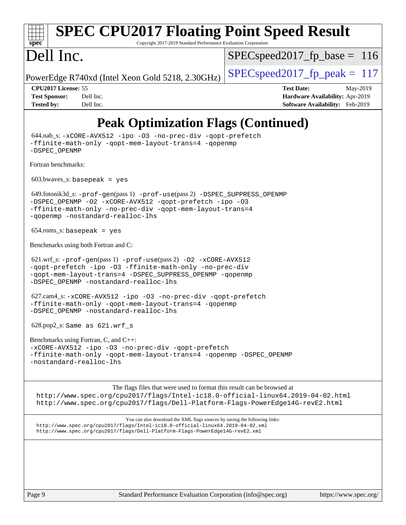### **[spec](http://www.spec.org/) [SPEC CPU2017 Floating Point Speed Result](http://www.spec.org/auto/cpu2017/Docs/result-fields.html#SPECCPU2017FloatingPointSpeedResult)** Copyright 2017-2019 Standard Performance Evaluation Corporation Dell Inc. PowerEdge R740xd (Intel Xeon Gold 5218, 2.30GHz)  $\left|$  [SPECspeed2017\\_fp\\_peak =](http://www.spec.org/auto/cpu2017/Docs/result-fields.html#SPECspeed2017fppeak) 117 SPECspeed2017 fp base =  $116$ **[CPU2017 License:](http://www.spec.org/auto/cpu2017/Docs/result-fields.html#CPU2017License)** 55 **[Test Date:](http://www.spec.org/auto/cpu2017/Docs/result-fields.html#TestDate)** May-2019 **[Test Sponsor:](http://www.spec.org/auto/cpu2017/Docs/result-fields.html#TestSponsor)** Dell Inc. **[Hardware Availability:](http://www.spec.org/auto/cpu2017/Docs/result-fields.html#HardwareAvailability)** Apr-2019 **[Tested by:](http://www.spec.org/auto/cpu2017/Docs/result-fields.html#Testedby)** Dell Inc. **[Software Availability:](http://www.spec.org/auto/cpu2017/Docs/result-fields.html#SoftwareAvailability)** Feb-2019 **[Peak Optimization Flags \(Continued\)](http://www.spec.org/auto/cpu2017/Docs/result-fields.html#PeakOptimizationFlags)** 644.nab\_s: [-xCORE-AVX512](http://www.spec.org/cpu2017/results/res2019q3/cpu2017-20190624-15449.flags.html#user_peakCOPTIMIZE644_nab_s_f-xCORE-AVX512) [-ipo](http://www.spec.org/cpu2017/results/res2019q3/cpu2017-20190624-15449.flags.html#user_peakCOPTIMIZE644_nab_s_f-ipo) [-O3](http://www.spec.org/cpu2017/results/res2019q3/cpu2017-20190624-15449.flags.html#user_peakCOPTIMIZE644_nab_s_f-O3) [-no-prec-div](http://www.spec.org/cpu2017/results/res2019q3/cpu2017-20190624-15449.flags.html#user_peakCOPTIMIZE644_nab_s_f-no-prec-div) [-qopt-prefetch](http://www.spec.org/cpu2017/results/res2019q3/cpu2017-20190624-15449.flags.html#user_peakCOPTIMIZE644_nab_s_f-qopt-prefetch) [-ffinite-math-only](http://www.spec.org/cpu2017/results/res2019q3/cpu2017-20190624-15449.flags.html#user_peakCOPTIMIZE644_nab_s_f_finite_math_only_cb91587bd2077682c4b38af759c288ed7c732db004271a9512da14a4f8007909a5f1427ecbf1a0fb78ff2a814402c6114ac565ca162485bbcae155b5e4258871) [-qopt-mem-layout-trans=4](http://www.spec.org/cpu2017/results/res2019q3/cpu2017-20190624-15449.flags.html#user_peakCOPTIMIZE644_nab_s_f-qopt-mem-layout-trans_fa39e755916c150a61361b7846f310bcdf6f04e385ef281cadf3647acec3f0ae266d1a1d22d972a7087a248fd4e6ca390a3634700869573d231a252c784941a8) [-qopenmp](http://www.spec.org/cpu2017/results/res2019q3/cpu2017-20190624-15449.flags.html#user_peakCOPTIMIZE644_nab_s_qopenmp_16be0c44f24f464004c6784a7acb94aca937f053568ce72f94b139a11c7c168634a55f6653758ddd83bcf7b8463e8028bb0b48b77bcddc6b78d5d95bb1df2967) [-DSPEC\\_OPENMP](http://www.spec.org/cpu2017/results/res2019q3/cpu2017-20190624-15449.flags.html#suite_peakCOPTIMIZE644_nab_s_DSPEC_OPENMP) [Fortran benchmarks](http://www.spec.org/auto/cpu2017/Docs/result-fields.html#Fortranbenchmarks):  $603.bwaves$  s: basepeak = yes 649.fotonik3d\_s: [-prof-gen](http://www.spec.org/cpu2017/results/res2019q3/cpu2017-20190624-15449.flags.html#user_peakPASS1_FFLAGSPASS1_LDFLAGS649_fotonik3d_s_prof_gen_5aa4926d6013ddb2a31985c654b3eb18169fc0c6952a63635c234f711e6e63dd76e94ad52365559451ec499a2cdb89e4dc58ba4c67ef54ca681ffbe1461d6b36)(pass 1) [-prof-use](http://www.spec.org/cpu2017/results/res2019q3/cpu2017-20190624-15449.flags.html#user_peakPASS2_FFLAGSPASS2_LDFLAGS649_fotonik3d_s_prof_use_1a21ceae95f36a2b53c25747139a6c16ca95bd9def2a207b4f0849963b97e94f5260e30a0c64f4bb623698870e679ca08317ef8150905d41bd88c6f78df73f19)(pass 2) [-DSPEC\\_SUPPRESS\\_OPENMP](http://www.spec.org/cpu2017/results/res2019q3/cpu2017-20190624-15449.flags.html#suite_peakPASS1_FOPTIMIZE649_fotonik3d_s_DSPEC_SUPPRESS_OPENMP) [-DSPEC\\_OPENMP](http://www.spec.org/cpu2017/results/res2019q3/cpu2017-20190624-15449.flags.html#suite_peakPASS2_FOPTIMIZE649_fotonik3d_s_DSPEC_OPENMP) [-O2](http://www.spec.org/cpu2017/results/res2019q3/cpu2017-20190624-15449.flags.html#user_peakPASS1_FOPTIMIZE649_fotonik3d_s_f-O2) [-xCORE-AVX512](http://www.spec.org/cpu2017/results/res2019q3/cpu2017-20190624-15449.flags.html#user_peakPASS2_FOPTIMIZE649_fotonik3d_s_f-xCORE-AVX512) [-qopt-prefetch](http://www.spec.org/cpu2017/results/res2019q3/cpu2017-20190624-15449.flags.html#user_peakPASS1_FOPTIMIZEPASS2_FOPTIMIZE649_fotonik3d_s_f-qopt-prefetch) [-ipo](http://www.spec.org/cpu2017/results/res2019q3/cpu2017-20190624-15449.flags.html#user_peakPASS2_FOPTIMIZE649_fotonik3d_s_f-ipo) [-O3](http://www.spec.org/cpu2017/results/res2019q3/cpu2017-20190624-15449.flags.html#user_peakPASS2_FOPTIMIZE649_fotonik3d_s_f-O3) [-ffinite-math-only](http://www.spec.org/cpu2017/results/res2019q3/cpu2017-20190624-15449.flags.html#user_peakPASS1_FOPTIMIZEPASS2_FOPTIMIZE649_fotonik3d_s_f_finite_math_only_cb91587bd2077682c4b38af759c288ed7c732db004271a9512da14a4f8007909a5f1427ecbf1a0fb78ff2a814402c6114ac565ca162485bbcae155b5e4258871) [-no-prec-div](http://www.spec.org/cpu2017/results/res2019q3/cpu2017-20190624-15449.flags.html#user_peakPASS2_FOPTIMIZE649_fotonik3d_s_f-no-prec-div) [-qopt-mem-layout-trans=4](http://www.spec.org/cpu2017/results/res2019q3/cpu2017-20190624-15449.flags.html#user_peakPASS1_FOPTIMIZEPASS2_FOPTIMIZE649_fotonik3d_s_f-qopt-mem-layout-trans_fa39e755916c150a61361b7846f310bcdf6f04e385ef281cadf3647acec3f0ae266d1a1d22d972a7087a248fd4e6ca390a3634700869573d231a252c784941a8) [-qopenmp](http://www.spec.org/cpu2017/results/res2019q3/cpu2017-20190624-15449.flags.html#user_peakPASS2_FOPTIMIZE649_fotonik3d_s_qopenmp_16be0c44f24f464004c6784a7acb94aca937f053568ce72f94b139a11c7c168634a55f6653758ddd83bcf7b8463e8028bb0b48b77bcddc6b78d5d95bb1df2967) [-nostandard-realloc-lhs](http://www.spec.org/cpu2017/results/res2019q3/cpu2017-20190624-15449.flags.html#user_peakEXTRA_FOPTIMIZE649_fotonik3d_s_f_2003_std_realloc_82b4557e90729c0f113870c07e44d33d6f5a304b4f63d4c15d2d0f1fab99f5daaed73bdb9275d9ae411527f28b936061aa8b9c8f2d63842963b95c9dd6426b8a) 654.roms\_s: basepeak = yes [Benchmarks using both Fortran and C](http://www.spec.org/auto/cpu2017/Docs/result-fields.html#BenchmarksusingbothFortranandC): 621.wrf\_s: [-prof-gen](http://www.spec.org/cpu2017/results/res2019q3/cpu2017-20190624-15449.flags.html#user_peakPASS1_CFLAGSPASS1_FFLAGSPASS1_LDFLAGS621_wrf_s_prof_gen_5aa4926d6013ddb2a31985c654b3eb18169fc0c6952a63635c234f711e6e63dd76e94ad52365559451ec499a2cdb89e4dc58ba4c67ef54ca681ffbe1461d6b36)(pass 1) [-prof-use](http://www.spec.org/cpu2017/results/res2019q3/cpu2017-20190624-15449.flags.html#user_peakPASS2_CFLAGSPASS2_FFLAGSPASS2_LDFLAGS621_wrf_s_prof_use_1a21ceae95f36a2b53c25747139a6c16ca95bd9def2a207b4f0849963b97e94f5260e30a0c64f4bb623698870e679ca08317ef8150905d41bd88c6f78df73f19)(pass 2) [-O2](http://www.spec.org/cpu2017/results/res2019q3/cpu2017-20190624-15449.flags.html#user_peakPASS1_COPTIMIZEPASS1_FOPTIMIZE621_wrf_s_f-O2) [-xCORE-AVX512](http://www.spec.org/cpu2017/results/res2019q3/cpu2017-20190624-15449.flags.html#user_peakPASS2_COPTIMIZEPASS2_FOPTIMIZE621_wrf_s_f-xCORE-AVX512) [-qopt-prefetch](http://www.spec.org/cpu2017/results/res2019q3/cpu2017-20190624-15449.flags.html#user_peakPASS1_COPTIMIZEPASS1_FOPTIMIZEPASS2_COPTIMIZEPASS2_FOPTIMIZE621_wrf_s_f-qopt-prefetch) [-ipo](http://www.spec.org/cpu2017/results/res2019q3/cpu2017-20190624-15449.flags.html#user_peakPASS2_COPTIMIZEPASS2_FOPTIMIZE621_wrf_s_f-ipo) [-O3](http://www.spec.org/cpu2017/results/res2019q3/cpu2017-20190624-15449.flags.html#user_peakPASS2_COPTIMIZEPASS2_FOPTIMIZE621_wrf_s_f-O3) [-ffinite-math-only](http://www.spec.org/cpu2017/results/res2019q3/cpu2017-20190624-15449.flags.html#user_peakPASS1_COPTIMIZEPASS1_FOPTIMIZEPASS2_COPTIMIZEPASS2_FOPTIMIZE621_wrf_s_f_finite_math_only_cb91587bd2077682c4b38af759c288ed7c732db004271a9512da14a4f8007909a5f1427ecbf1a0fb78ff2a814402c6114ac565ca162485bbcae155b5e4258871) [-no-prec-div](http://www.spec.org/cpu2017/results/res2019q3/cpu2017-20190624-15449.flags.html#user_peakPASS2_COPTIMIZEPASS2_FOPTIMIZE621_wrf_s_f-no-prec-div) [-qopt-mem-layout-trans=4](http://www.spec.org/cpu2017/results/res2019q3/cpu2017-20190624-15449.flags.html#user_peakPASS1_COPTIMIZEPASS1_FOPTIMIZEPASS2_COPTIMIZEPASS2_FOPTIMIZE621_wrf_s_f-qopt-mem-layout-trans_fa39e755916c150a61361b7846f310bcdf6f04e385ef281cadf3647acec3f0ae266d1a1d22d972a7087a248fd4e6ca390a3634700869573d231a252c784941a8) [-DSPEC\\_SUPPRESS\\_OPENMP](http://www.spec.org/cpu2017/results/res2019q3/cpu2017-20190624-15449.flags.html#suite_peakPASS1_COPTIMIZEPASS1_FOPTIMIZE621_wrf_s_DSPEC_SUPPRESS_OPENMP) [-qopenmp](http://www.spec.org/cpu2017/results/res2019q3/cpu2017-20190624-15449.flags.html#user_peakPASS2_COPTIMIZEPASS2_FOPTIMIZE621_wrf_s_qopenmp_16be0c44f24f464004c6784a7acb94aca937f053568ce72f94b139a11c7c168634a55f6653758ddd83bcf7b8463e8028bb0b48b77bcddc6b78d5d95bb1df2967) [-DSPEC\\_OPENMP](http://www.spec.org/cpu2017/results/res2019q3/cpu2017-20190624-15449.flags.html#suite_peakPASS2_COPTIMIZEPASS2_FOPTIMIZE621_wrf_s_DSPEC_OPENMP) [-nostandard-realloc-lhs](http://www.spec.org/cpu2017/results/res2019q3/cpu2017-20190624-15449.flags.html#user_peakEXTRA_FOPTIMIZE621_wrf_s_f_2003_std_realloc_82b4557e90729c0f113870c07e44d33d6f5a304b4f63d4c15d2d0f1fab99f5daaed73bdb9275d9ae411527f28b936061aa8b9c8f2d63842963b95c9dd6426b8a) 627.cam4\_s: [-xCORE-AVX512](http://www.spec.org/cpu2017/results/res2019q3/cpu2017-20190624-15449.flags.html#user_peakCOPTIMIZEFOPTIMIZE627_cam4_s_f-xCORE-AVX512) [-ipo](http://www.spec.org/cpu2017/results/res2019q3/cpu2017-20190624-15449.flags.html#user_peakCOPTIMIZEFOPTIMIZE627_cam4_s_f-ipo) [-O3](http://www.spec.org/cpu2017/results/res2019q3/cpu2017-20190624-15449.flags.html#user_peakCOPTIMIZEFOPTIMIZE627_cam4_s_f-O3) [-no-prec-div](http://www.spec.org/cpu2017/results/res2019q3/cpu2017-20190624-15449.flags.html#user_peakCOPTIMIZEFOPTIMIZE627_cam4_s_f-no-prec-div) [-qopt-prefetch](http://www.spec.org/cpu2017/results/res2019q3/cpu2017-20190624-15449.flags.html#user_peakCOPTIMIZEFOPTIMIZE627_cam4_s_f-qopt-prefetch) [-ffinite-math-only](http://www.spec.org/cpu2017/results/res2019q3/cpu2017-20190624-15449.flags.html#user_peakCOPTIMIZEFOPTIMIZE627_cam4_s_f_finite_math_only_cb91587bd2077682c4b38af759c288ed7c732db004271a9512da14a4f8007909a5f1427ecbf1a0fb78ff2a814402c6114ac565ca162485bbcae155b5e4258871) [-qopt-mem-layout-trans=4](http://www.spec.org/cpu2017/results/res2019q3/cpu2017-20190624-15449.flags.html#user_peakCOPTIMIZEFOPTIMIZE627_cam4_s_f-qopt-mem-layout-trans_fa39e755916c150a61361b7846f310bcdf6f04e385ef281cadf3647acec3f0ae266d1a1d22d972a7087a248fd4e6ca390a3634700869573d231a252c784941a8) [-qopenmp](http://www.spec.org/cpu2017/results/res2019q3/cpu2017-20190624-15449.flags.html#user_peakCOPTIMIZEFOPTIMIZE627_cam4_s_qopenmp_16be0c44f24f464004c6784a7acb94aca937f053568ce72f94b139a11c7c168634a55f6653758ddd83bcf7b8463e8028bb0b48b77bcddc6b78d5d95bb1df2967) [-DSPEC\\_OPENMP](http://www.spec.org/cpu2017/results/res2019q3/cpu2017-20190624-15449.flags.html#suite_peakCOPTIMIZEFOPTIMIZE627_cam4_s_DSPEC_OPENMP) [-nostandard-realloc-lhs](http://www.spec.org/cpu2017/results/res2019q3/cpu2017-20190624-15449.flags.html#user_peakEXTRA_FOPTIMIZE627_cam4_s_f_2003_std_realloc_82b4557e90729c0f113870c07e44d33d6f5a304b4f63d4c15d2d0f1fab99f5daaed73bdb9275d9ae411527f28b936061aa8b9c8f2d63842963b95c9dd6426b8a)

628.pop2\_s: Same as 621.wrf\_s

[Benchmarks using Fortran, C, and C++:](http://www.spec.org/auto/cpu2017/Docs/result-fields.html#BenchmarksusingFortranCandCXX) [-xCORE-AVX512](http://www.spec.org/cpu2017/results/res2019q3/cpu2017-20190624-15449.flags.html#user_CC_CXX_FCpeak_f-xCORE-AVX512) [-ipo](http://www.spec.org/cpu2017/results/res2019q3/cpu2017-20190624-15449.flags.html#user_CC_CXX_FCpeak_f-ipo) [-O3](http://www.spec.org/cpu2017/results/res2019q3/cpu2017-20190624-15449.flags.html#user_CC_CXX_FCpeak_f-O3) [-no-prec-div](http://www.spec.org/cpu2017/results/res2019q3/cpu2017-20190624-15449.flags.html#user_CC_CXX_FCpeak_f-no-prec-div) [-qopt-prefetch](http://www.spec.org/cpu2017/results/res2019q3/cpu2017-20190624-15449.flags.html#user_CC_CXX_FCpeak_f-qopt-prefetch) [-ffinite-math-only](http://www.spec.org/cpu2017/results/res2019q3/cpu2017-20190624-15449.flags.html#user_CC_CXX_FCpeak_f_finite_math_only_cb91587bd2077682c4b38af759c288ed7c732db004271a9512da14a4f8007909a5f1427ecbf1a0fb78ff2a814402c6114ac565ca162485bbcae155b5e4258871) [-qopt-mem-layout-trans=4](http://www.spec.org/cpu2017/results/res2019q3/cpu2017-20190624-15449.flags.html#user_CC_CXX_FCpeak_f-qopt-mem-layout-trans_fa39e755916c150a61361b7846f310bcdf6f04e385ef281cadf3647acec3f0ae266d1a1d22d972a7087a248fd4e6ca390a3634700869573d231a252c784941a8) [-qopenmp](http://www.spec.org/cpu2017/results/res2019q3/cpu2017-20190624-15449.flags.html#user_CC_CXX_FCpeak_qopenmp_16be0c44f24f464004c6784a7acb94aca937f053568ce72f94b139a11c7c168634a55f6653758ddd83bcf7b8463e8028bb0b48b77bcddc6b78d5d95bb1df2967) [-DSPEC\\_OPENMP](http://www.spec.org/cpu2017/results/res2019q3/cpu2017-20190624-15449.flags.html#suite_CC_CXX_FCpeak_DSPEC_OPENMP) [-nostandard-realloc-lhs](http://www.spec.org/cpu2017/results/res2019q3/cpu2017-20190624-15449.flags.html#user_CC_CXX_FCpeak_f_2003_std_realloc_82b4557e90729c0f113870c07e44d33d6f5a304b4f63d4c15d2d0f1fab99f5daaed73bdb9275d9ae411527f28b936061aa8b9c8f2d63842963b95c9dd6426b8a)

The flags files that were used to format this result can be browsed at <http://www.spec.org/cpu2017/flags/Intel-ic18.0-official-linux64.2019-04-02.html> <http://www.spec.org/cpu2017/flags/Dell-Platform-Flags-PowerEdge14G-revE2.html>

You can also download the XML flags sources by saving the following links: <http://www.spec.org/cpu2017/flags/Intel-ic18.0-official-linux64.2019-04-02.xml> <http://www.spec.org/cpu2017/flags/Dell-Platform-Flags-PowerEdge14G-revE2.xml>

Page 9 Standard Performance Evaluation Corporation [\(info@spec.org\)](mailto:info@spec.org) <https://www.spec.org/>